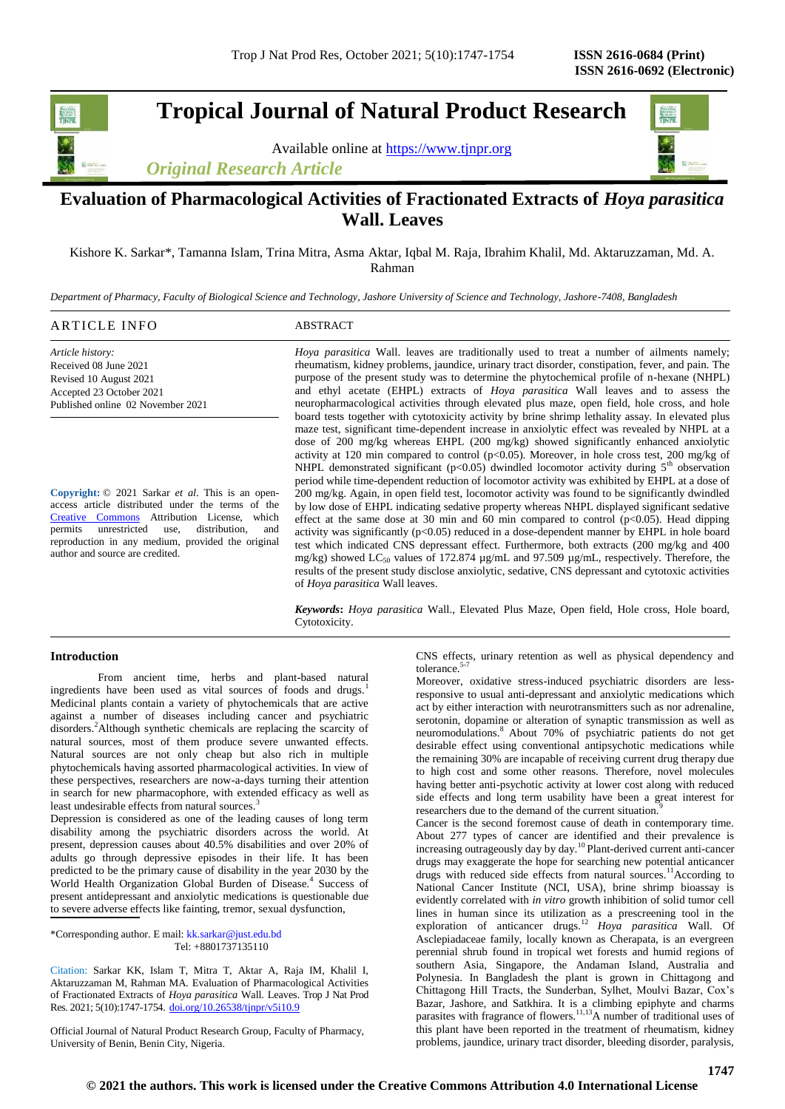**Tropical Journal of Natural Product Research**

Available online at [https://www.tjnpr.org](https://www.tjnpr.org/)

*Original Research Article*



# **Evaluation of Pharmacological Activities of Fractionated Extracts of** *Hoya parasitica*  **Wall. Leaves**

Kishore K. Sarkar\*, Tamanna Islam, Trina Mitra, Asma Aktar, Iqbal M. Raja, Ibrahim Khalil, Md. Aktaruzzaman, Md. A. Rahman

*Department of Pharmacy, Faculty of Biological Science and Technology, Jashore University of Science and Technology, Jashore-7408, Bangladesh*

| ARTICLE INFO                      | ABSTRACT                                                                                          |
|-----------------------------------|---------------------------------------------------------------------------------------------------|
| Article history:                  | <i>Hoya parasitica</i> Wall. leaves are traditionally used to treat a number of ailments namely;  |
| Received 08 June 2021             | rheumatism, kidney problems, jaundice, urinary tract disorder, constipation, fever, and pain. The |
| Revised 10 August 2021            | purpose of the present study was to determine the phytochemical profile of n-hexane (NHPL)        |
| Accepted 23 October 2021          | and ethyl acetate (EHPL) extracts of <i>Hoya parasitica</i> Wall leaves and to assess the         |
| Published online 02 November 2021 | neuropharmacological activities through elevated plus maze, open field, hole cross, and hole      |
|                                   | board tests together with cytotoxicity activity by brine shrimp lethality assay. In elevated plus |
|                                   | maze test, significant time-dependent increase in anxiolytic effect was revealed by NHPL at a     |
|                                   | dose of 200 mg/kg whereas EHPL (200 mg/kg) showed significantly enhanced anxiolytic               |
|                                   | activity at 120 min compared to control ( $p<0.05$ ). Moreover, in hole cross test, 200 mg/kg of  |
|                                   | NHPL demonstrated significant $(n<0.05)$ dwindled locomotor activity during $5th$ observation     |

**Copyright:** © 2021 Sarkar *et al*. This is an openaccess article distributed under the terms of the [Creative Commons](https://creativecommons.org/licenses/by/4.0/) Attribution License, which permits unrestricted use, distribution, and reproduction in any medium, provided the original author and source are credited.

nonstrated significant ( $p<0.05$ ) dwindled locomotor activity period while time-dependent reduction of locomotor activity was exhibited by EHPL at a dose of 200 mg/kg. Again, in open field test, locomotor activity was found to be significantly dwindled by low dose of EHPL indicating sedative property whereas NHPL displayed significant sedative effect at the same dose at 30 min and 60 min compared to control  $(p<0.05)$ . Head dipping activity was significantly  $(p<0.05)$  reduced in a dose-dependent manner by EHPL in hole board test which indicated CNS depressant effect. Furthermore, both extracts (200 mg/kg and 400 mg/kg) showed LC<sub>50</sub> values of 172.874  $\mu$ g/mL and 97.509  $\mu$ g/mL, respectively. Therefore, the results of the present study disclose anxiolytic, sedative, CNS depressant and cytotoxic activities of *Hoya parasitica* Wall leaves.

*Keywords***:** *Hoya parasitica* Wall., Elevated Plus Maze, Open field, Hole cross, Hole board, Cytotoxicity.

# **Introduction**

From ancient time, herbs and plant-based natural ingredients have been used as vital sources of foods and drugs.<sup>1</sup> Medicinal plants contain a variety of phytochemicals that are active against a number of diseases including cancer and psychiatric disorders.<sup>2</sup>Although synthetic chemicals are replacing the scarcity of natural sources, most of them produce severe unwanted effects. Natural sources are not only cheap but also rich in multiple phytochemicals having assorted pharmacological activities. In view of these perspectives, researchers are now-a-days turning their attention in search for new pharmacophore, with extended efficacy as well as least undesirable effects from natural sources.<sup>3</sup>

Depression is considered as one of the leading causes of long term disability among the psychiatric disorders across the world. At present, depression causes about 40.5% disabilities and over 20% of adults go through depressive episodes in their life. It has been predicted to be the primary cause of disability in the year 2030 by the World Health Organization Global Burden of Disease.<sup>4</sup> Success of present antidepressant and anxiolytic medications is questionable due to severe adverse effects like fainting, tremor, sexual dysfunction,

\*Corresponding author. E mail[: kk.sarkar@just.edu.bd](mailto:kk.sarkar@just.edu.bd) Tel: +8801737135110

Citation: Sarkar KK, Islam T, Mitra T, Aktar A, Raja IM, Khalil I, Aktaruzzaman M, Rahman MA. Evaluation of Pharmacological Activities of Fractionated Extracts of *Hoya parasitica* Wall. Leaves. Trop J Nat Prod Res. 2021; 5(10):1747-1754. [doi.org/10.26538/tjnpr/v5i10.9](http://www.doi.org/10.26538/tjnpr/v1i4.5)

Official Journal of Natural Product Research Group, Faculty of Pharmacy, University of Benin, Benin City, Nigeria.

CNS effects, urinary retention as well as physical dependency and tolerance. $5\frac{5}{7}$ 

Moreover, oxidative stress-induced psychiatric disorders are lessresponsive to usual anti-depressant and anxiolytic medications which act by either interaction with neurotransmitters such as nor adrenaline, serotonin, dopamine or alteration of synaptic transmission as well as neuromodulations.<sup>8</sup>About 70% of psychiatric patients do not get desirable effect using conventional antipsychotic medications while the remaining 30% are incapable of receiving current drug therapy due to high cost and some other reasons. Therefore, novel molecules having better anti-psychotic activity at lower cost along with reduced side effects and long term usability have been a great interest for researchers due to the demand of the current situation.<sup>9</sup>

Cancer is the second foremost cause of death in contemporary time. About 277 types of cancer are identified and their prevalence is increasing outrageously day by day.<sup>10</sup> Plant-derived current anti-cancer drugs may exaggerate the hope for searching new potential anticancer drugs with reduced side effects from natural sources.<sup>11</sup>According to National Cancer Institute (NCI, USA), brine shrimp bioassay is evidently correlated with *in vitro* growth inhibition of solid tumor cell lines in human since its utilization as a prescreening tool in the exploration of anticancer drugs.<sup>12</sup> Hoya parasitica Wall. Of Asclepiadaceae family, locally known as Cherapata, is an evergreen perennial shrub found in tropical wet forests and humid regions of southern Asia, Singapore, the Andaman Island, Australia and Polynesia. In Bangladesh the plant is grown in Chittagong and Chittagong Hill Tracts, the Sunderban, Sylhet, Moulvi Bazar, Cox's Bazar, Jashore, and Satkhira. It is a climbing epiphyte and charms parasites with fragrance of flowers.<sup>11,13</sup>A number of traditional uses of this plant have been reported in the treatment of rheumatism, kidney problems, jaundice, urinary tract disorder, bleeding disorder, paralysis,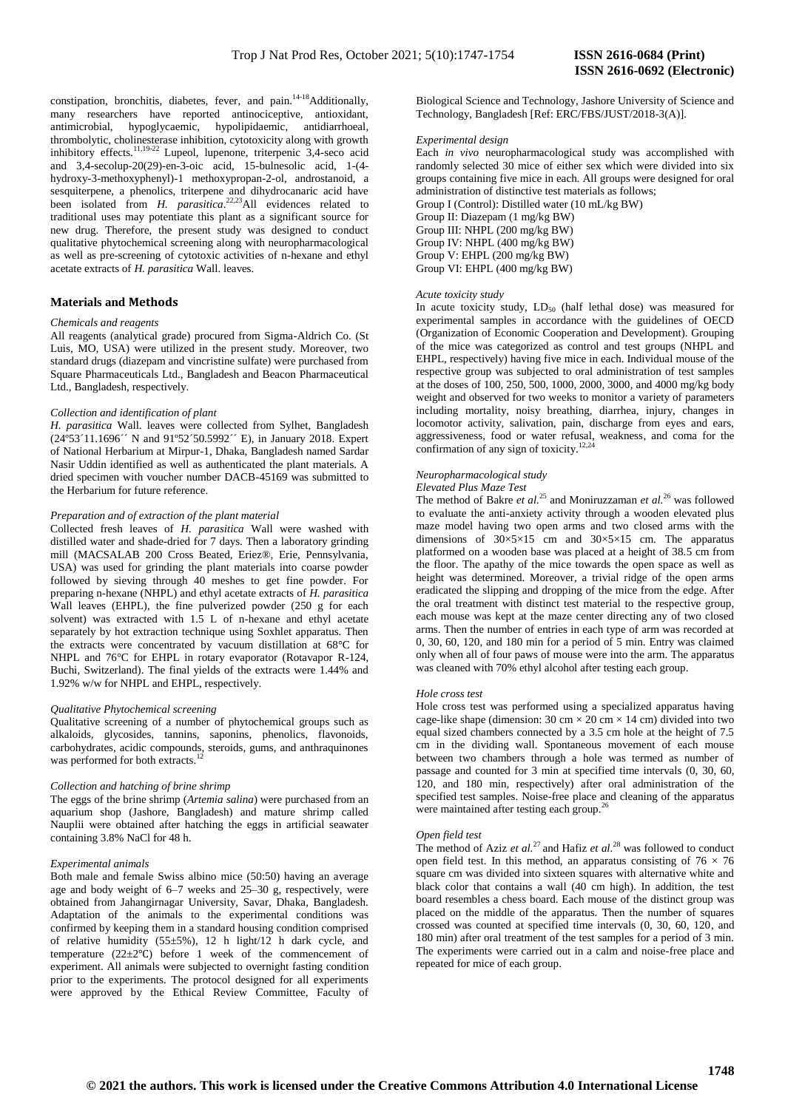constipation, bronchitis, diabetes, fever, and pain.<sup>14-18</sup>Additionally. many researchers have reported antinociceptive, antioxidant, antimicrobial, hypoglycaemic, hypolipidaemic, antidiarrhoeal, thrombolytic, cholinesterase inhibition, cytotoxicity along with growth inhibitory effects.<sup>11,19-22</sup> Lupeol, lupenone, triterpenic 3,4-seco acid and 3,4-secolup-20(29)-en-3-oic acid, 15-bulnesolic acid, 1-(4 hydroxy-3-methoxyphenyl)-1 methoxypropan-2-ol, androstanoid, a sesquiterpene, a phenolics, triterpene and dihydrocanaric acid have been isolated from *H. parasitica*.<sup>22,23</sup>All evidences related to traditional uses may potentiate this plant as a significant source for new drug. Therefore, the present study was designed to conduct qualitative phytochemical screening along with neuropharmacological as well as pre-screening of cytotoxic activities of n-hexane and ethyl acetate extracts of *H. parasitica* Wall. leaves.

# **Materials and Methods**

# *Chemicals and reagents*

All reagents (analytical grade) procured from Sigma-Aldrich Co. (St Luis, MO, USA) were utilized in the present study. Moreover, two standard drugs (diazepam and vincristine sulfate) were purchased from Square Pharmaceuticals Ltd., Bangladesh and Beacon Pharmaceutical Ltd., Bangladesh, respectively.

# *Collection and identification of plant*

*H. parasitica* Wall. leaves were collected from Sylhet, Bangladesh (24º53´11.1696´´ N and 91º52´50.5992´´ E), in January 2018. Expert of National Herbarium at Mirpur-1, Dhaka, Bangladesh named Sardar Nasir Uddin identified as well as authenticated the plant materials. A dried specimen with voucher number DACB-45169 was submitted to the Herbarium for future reference.

#### *Preparation and of extraction of the plant material*

Collected fresh leaves of *H. parasitica* Wall were washed with distilled water and shade-dried for 7 days. Then a laboratory grinding mill (MACSALAB 200 Cross Beated, Eriez®, Erie, Pennsylvania, USA) was used for grinding the plant materials into coarse powder followed by sieving through 40 meshes to get fine powder. For preparing n-hexane (NHPL) and ethyl acetate extracts of *H. parasitica*  Wall leaves (EHPL), the fine pulverized powder (250 g for each solvent) was extracted with 1.5 L of n-hexane and ethyl acetate separately by hot extraction technique using Soxhlet apparatus. Then the extracts were concentrated by vacuum distillation at 68°C for NHPL and 76°C for EHPL in rotary evaporator (Rotavapor R-124, Buchi, Switzerland). The final yields of the extracts were 1.44% and 1.92% w/w for NHPL and EHPL, respectively.

# *Qualitative Phytochemical screening*

Qualitative screening of a number of phytochemical groups such as alkaloids, glycosides, tannins, saponins, phenolics, flavonoids, carbohydrates, acidic compounds, steroids, gums, and anthraquinones was performed for both extracts.

# *Collection and hatching of brine shrimp*

The eggs of the brine shrimp (*Artemia salina*) were purchased from an aquarium shop (Jashore, Bangladesh) and mature shrimp called Nauplii were obtained after hatching the eggs in artificial seawater containing 3.8% NaCl for 48 h.

# *Experimental animals*

Both male and female Swiss albino mice (50:50) having an average age and body weight of 6–7 weeks and 25–30 g, respectively, were obtained from Jahangirnagar University, Savar, Dhaka, Bangladesh. Adaptation of the animals to the experimental conditions was confirmed by keeping them in a standard housing condition comprised of relative humidity (55±5%), 12 h light/12 h dark cycle, and temperature (22±2℃) before 1 week of the commencement of experiment. All animals were subjected to overnight fasting condition prior to the experiments. The protocol designed for all experiments were approved by the Ethical Review Committee, Faculty of

Biological Science and Technology, Jashore University of Science and Technology, Bangladesh [Ref: ERC/FBS/JUST/2018-3(A)].

#### *Experimental design*

Each *in vivo* neuropharmacological study was accomplished with randomly selected 30 mice of either sex which were divided into six groups containing five mice in each. All groups were designed for oral administration of distinctive test materials as follows; Group I (Control): Distilled water (10 mL/kg BW) Group II: Diazepam (1 mg/kg BW) Group III: NHPL (200 mg/kg BW) Group IV: NHPL (400 mg/kg BW) Group V: EHPL (200 mg/kg BW) Group VI: EHPL (400 mg/kg BW)

#### *Acute toxicity study*

In acute toxicity study,  $LD_{50}$  (half lethal dose) was measured for experimental samples in accordance with the guidelines of OECD (Organization of Economic Cooperation and Development). Grouping of the mice was categorized as control and test groups (NHPL and EHPL, respectively) having five mice in each. Individual mouse of the respective group was subjected to oral administration of test samples at the doses of 100, 250, 500, 1000, 2000, 3000, and 4000 mg/kg body weight and observed for two weeks to monitor a variety of parameters including mortality, noisy breathing, diarrhea, injury, changes in locomotor activity, salivation, pain, discharge from eyes and ears, aggressiveness, food or water refusal, weakness, and coma for the confirmation of any sign of toxicity.<sup>12,24</sup>

# *Neuropharmacological study*

#### *Elevated Plus Maze Test*

The method of Bakre *et al.*<sup>25</sup> and Moniruzzaman *et al.*<sup>26</sup> was followed to evaluate the anti-anxiety activity through a wooden elevated plus maze model having two open arms and two closed arms with the dimensions of  $30 \times 5 \times 15$  cm and  $30 \times 5 \times 15$  cm. The apparatus platformed on a wooden base was placed at a height of 38.5 cm from the floor. The apathy of the mice towards the open space as well as height was determined. Moreover, a trivial ridge of the open arms eradicated the slipping and dropping of the mice from the edge. After the oral treatment with distinct test material to the respective group, each mouse was kept at the maze center directing any of two closed arms. Then the number of entries in each type of arm was recorded at 0, 30, 60, 120, and 180 min for a period of 5 min. Entry was claimed only when all of four paws of mouse were into the arm. The apparatus was cleaned with 70% ethyl alcohol after testing each group.

#### *Hole cross test*

Hole cross test was performed using a specialized apparatus having cage-like shape (dimension:  $30 \text{ cm} \times 20 \text{ cm} \times 14 \text{ cm}$ ) divided into two equal sized chambers connected by a 3.5 cm hole at the height of 7.5 cm in the dividing wall. Spontaneous movement of each mouse between two chambers through a hole was termed as number of passage and counted for 3 min at specified time intervals (0, 30, 60, 120, and 180 min, respectively) after oral administration of the specified test samples. Noise-free place and cleaning of the apparatus were maintained after testing each group.<sup>26</sup>

#### *Open field test*

The method of Aziz *et al.*<sup>27</sup> and Hafiz *et al.*<sup>28</sup> was followed to conduct open field test. In this method, an apparatus consisting of  $76 \times 76$ square cm was divided into sixteen squares with alternative white and black color that contains a wall (40 cm high). In addition, the test board resembles a chess board. Each mouse of the distinct group was placed on the middle of the apparatus. Then the number of squares crossed was counted at specified time intervals (0, 30, 60, 120, and 180 min) after oral treatment of the test samples for a period of 3 min. The experiments were carried out in a calm and noise-free place and repeated for mice of each group.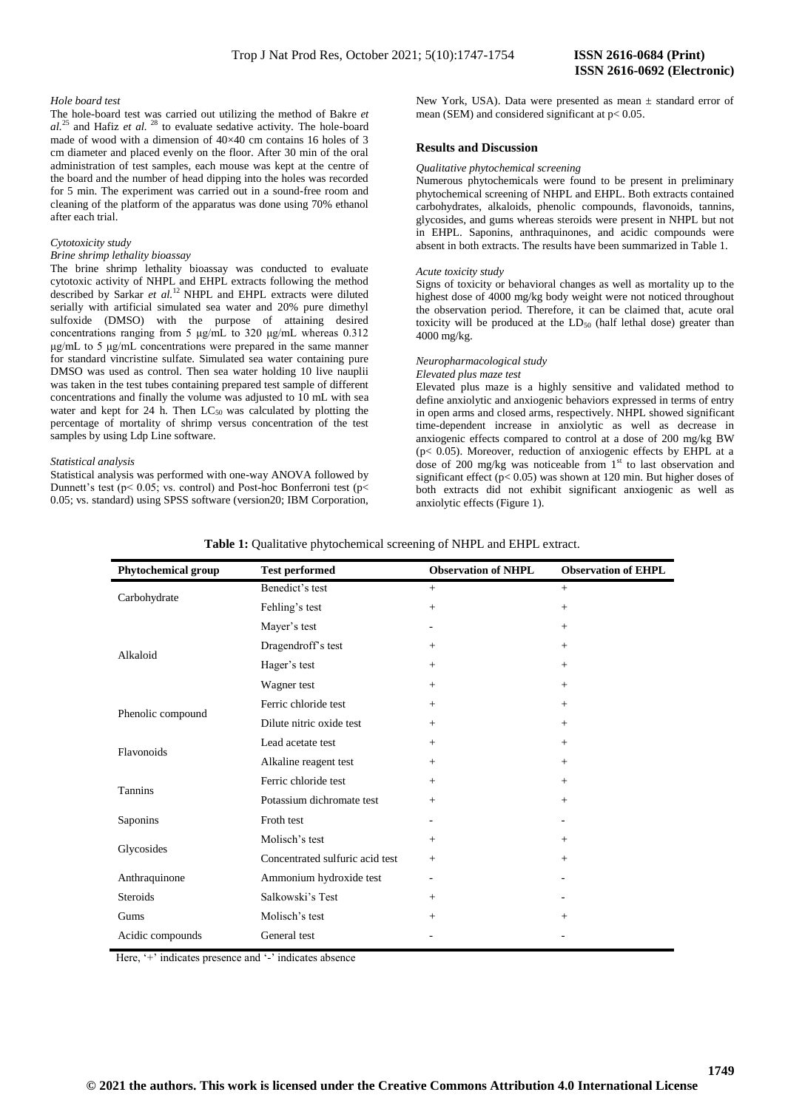# *Hole board test*

The hole-board test was carried out utilizing the method of Bakre *et al.*<sup>25</sup> and Hafiz *et al.* <sup>28</sup> to evaluate sedative activity. The hole-board made of wood with a dimension of 40×40 cm contains 16 holes of 3 cm diameter and placed evenly on the floor. After 30 min of the oral administration of test samples, each mouse was kept at the centre of the board and the number of head dipping into the holes was recorded for 5 min. The experiment was carried out in a sound-free room and cleaning of the platform of the apparatus was done using 70% ethanol after each trial.

# *Cytotoxicity study*

# *Brine shrimp lethality bioassay*

The brine shrimp lethality bioassay was conducted to evaluate cytotoxic activity of NHPL and EHPL extracts following the method described by Sarkar et al.<sup>12</sup> NHPL and EHPL extracts were diluted serially with artificial simulated sea water and 20% pure dimethyl sulfoxide (DMSO) with the purpose of attaining desired concentrations ranging from 5 μg/mL to 320 μg/mL whereas 0.312 μg/mL to 5 μg/mL concentrations were prepared in the same manner for standard vincristine sulfate. Simulated sea water containing pure DMSO was used as control. Then sea water holding 10 live nauplii was taken in the test tubes containing prepared test sample of different concentrations and finally the volume was adjusted to 10 mL with sea water and kept for 24 h. Then  $LC_{50}$  was calculated by plotting the percentage of mortality of shrimp versus concentration of the test samples by using Ldp Line software.

# *Statistical analysis*

Statistical analysis was performed with one-way ANOVA followed by Dunnett's test ( $p$ < 0.05; vs. control) and Post-hoc Bonferroni test ( $p$ < 0.05; vs. standard) using SPSS software (version20; IBM Corporation, New York, USA). Data were presented as mean  $\pm$  standard error of mean (SEM) and considered significant at  $p < 0.05$ .

#### **Results and Discussion**

# *Qualitative phytochemical screening*

Numerous phytochemicals were found to be present in preliminary phytochemical screening of NHPL and EHPL. Both extracts contained carbohydrates, alkaloids, phenolic compounds, flavonoids, tannins, glycosides, and gums whereas steroids were present in NHPL but not in EHPL. Saponins, anthraquinones, and acidic compounds were absent in both extracts. The results have been summarized in Table 1.

#### *Acute toxicity study*

Signs of toxicity or behavioral changes as well as mortality up to the highest dose of 4000 mg/kg body weight were not noticed throughout the observation period. Therefore, it can be claimed that, acute oral toxicity will be produced at the  $LD_{50}$  (half lethal dose) greater than 4000 mg/kg.

# *Neuropharmacological study*

# *Elevated plus maze test*

Elevated plus maze is a highly sensitive and validated method to define anxiolytic and anxiogenic behaviors expressed in terms of entry in open arms and closed arms, respectively. NHPL showed significant time-dependent increase in anxiolytic as well as decrease in anxiogenic effects compared to control at a dose of 200 mg/kg BW  $(p< 0.05)$ . Moreover, reduction of anxiogenic effects by EHPL at a dose of 200 mg/kg was noticeable from  $1<sup>st</sup>$  to last observation and significant effect ( $p < 0.05$ ) was shown at 120 min. But higher doses of both extracts did not exhibit significant anxiogenic as well as anxiolytic effects (Figure 1).

|  | Table 1: Qualitative phytochemical screening of NHPL and EHPL extract. |
|--|------------------------------------------------------------------------|
|  |                                                                        |

| Phytochemical group | <b>Test performed</b>           | <b>Observation of NHPL</b> | <b>Observation of EHPL</b> |
|---------------------|---------------------------------|----------------------------|----------------------------|
| Carbohydrate        | Benedict's test                 | $+$                        | $+$                        |
|                     | Fehling's test                  | $+$                        | $+$                        |
| Alkaloid            | Mayer's test                    | $\overline{\phantom{m}}$   | $+$                        |
|                     | Dragendroff's test              | $+$                        | $^{+}$                     |
|                     | Hager's test                    | $+$                        | $+$                        |
|                     | Wagner test                     | $+$                        | $+$                        |
| Phenolic compound   | Ferric chloride test            | $+$                        | $+$                        |
|                     | Dilute nitric oxide test        | $+$                        | $+$                        |
| Flavonoids          | Lead acetate test               | $+$                        | $+$                        |
|                     | Alkaline reagent test           | $+$                        | $+$                        |
| <b>Tannins</b>      | Ferric chloride test            | $+$                        | $+$                        |
|                     | Potassium dichromate test       | $+$                        | $+$                        |
| Saponins            | Froth test                      |                            | $\qquad \qquad -$          |
| Glycosides          | Molisch's test                  | $+$                        | $+$                        |
|                     | Concentrated sulfuric acid test | $+$                        | $+$                        |
| Anthraquinone       | Ammonium hydroxide test         | $\overline{a}$             | $\qquad \qquad -$          |
| <b>Steroids</b>     | Salkowski's Test                | $^{+}$                     |                            |
| Gums                | Molisch's test                  | $+$                        | $+$                        |
| Acidic compounds    | General test                    |                            |                            |

Here, '+' indicates presence and '-' indicates absence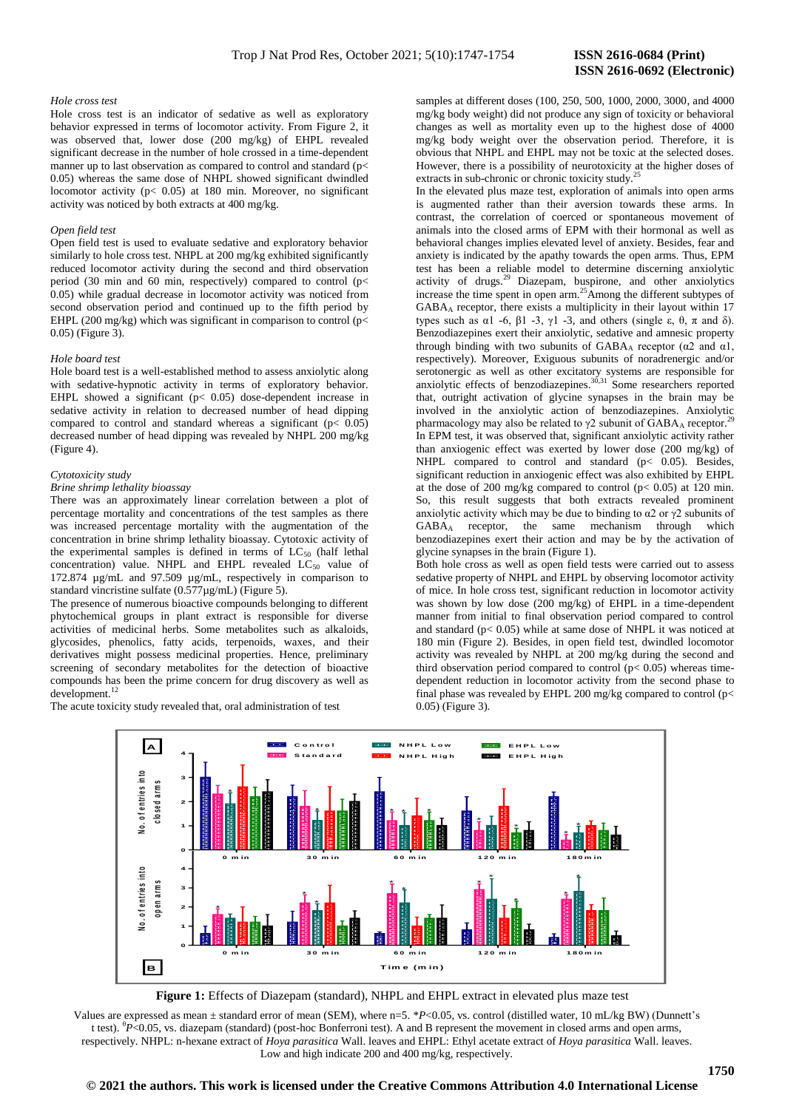# **ISSN 2616-0692 (Electronic)**

# *Hole cross test*

Hole cross test is an indicator of sedative as well as exploratory behavior expressed in terms of locomotor activity. From Figure 2, it was observed that, lower dose (200 mg/kg) of EHPL revealed significant decrease in the number of hole crossed in a time-dependent manner up to last observation as compared to control and standard (p< 0.05) whereas the same dose of NHPL showed significant dwindled locomotor activity (p< 0.05) at 180 min. Moreover, no significant activity was noticed by both extracts at 400 mg/kg.

#### *Open field test*

Open field test is used to evaluate sedative and exploratory behavior similarly to hole cross test. NHPL at 200 mg/kg exhibited significantly reduced locomotor activity during the second and third observation period (30 min and 60 min, respectively) compared to control ( $p$  < 0.05) while gradual decrease in locomotor activity was noticed from second observation period and continued up to the fifth period by EHPL (200 mg/kg) which was significant in comparison to control ( $p$  < 0.05) (Figure 3).

#### *Hole board test*

Hole board test is a well-established method to assess anxiolytic along with sedative-hypnotic activity in terms of exploratory behavior. EHPL showed a significant  $(p< 0.05)$  dose-dependent increase in sedative activity in relation to decreased number of head dipping compared to control and standard whereas a significant  $(p < 0.05)$ decreased number of head dipping was revealed by NHPL 200 mg/kg (Figure 4).

#### *Cytotoxicity study*

# *Brine shrimp lethality bioassay*

There was an approximately linear correlation between a plot of percentage mortality and concentrations of the test samples as there was increased percentage mortality with the augmentation of the concentration in brine shrimp lethality bioassay. Cytotoxic activity of the experimental samples is defined in terms of  $LC_{50}$  (half lethal concentration) value. NHPL and EHPL revealed  $LC_{50}$  value of 172.874 µg/mL and 97.509 µg/mL, respectively in comparison to standard vincristine sulfate (0.577µg/mL) (Figure 5).

The presence of numerous bioactive compounds belonging to different phytochemical groups in plant extract is responsible for diverse activities of medicinal herbs. Some metabolites such as alkaloids, glycosides, phenolics, fatty acids, terpenoids, waxes, and their derivatives might possess medicinal properties. Hence, preliminary screening of secondary metabolites for the detection of bioactive compounds has been the prime concern for drug discovery as well as development.<sup>12</sup>

The acute toxicity study revealed that, oral administration of test

samples at different doses (100, 250, 500, 1000, 2000, 3000, and 4000 mg/kg body weight) did not produce any sign of toxicity or behavioral changes as well as mortality even up to the highest dose of 4000 mg/kg body weight over the observation period. Therefore, it is obvious that NHPL and EHPL may not be toxic at the selected doses. However, there is a possibility of neurotoxicity at the higher doses of extracts in sub-chronic or chronic toxicity study.<sup>2</sup>

In the elevated plus maze test, exploration of animals into open arms is augmented rather than their aversion towards these arms. In contrast, the correlation of coerced or spontaneous movement of animals into the closed arms of EPM with their hormonal as well as behavioral changes implies elevated level of anxiety. Besides, fear and anxiety is indicated by the apathy towards the open arms. Thus, EPM test has been a reliable model to determine discerning anxiolytic activity of drugs.<sup>29</sup> Diazepam, buspirone, and other anxiolytics increase the time spent in open arm.<sup>25</sup>Among the different subtypes of GABA<sup>A</sup> receptor, there exists a multiplicity in their layout within 17 types such as  $\alpha$ 1 -6,  $\beta$ 1 -3,  $\gamma$ 1 -3, and others (single ε, θ, π and δ). Benzodiazepines exert their anxiolytic, sedative and amnesic property through binding with two subunits of  $GABA_A$  receptor ( $\alpha$ 2 and  $\alpha$ 1, respectively). Moreover, Exiguous subunits of noradrenergic and/or serotonergic as well as other excitatory systems are responsible for anxiolytic effects of benzodiazepines.<sup>30,31</sup> Some researchers reported that, outright activation of glycine synapses in the brain may be involved in the anxiolytic action of benzodiazepines. Anxiolytic pharmacology may also be related to  $\gamma$ 2 subunit of GABA<sub>A</sub> receptor.<sup>2</sup> In EPM test, it was observed that, significant anxiolytic activity rather than anxiogenic effect was exerted by lower dose (200 mg/kg) of NHPL compared to control and standard  $(p< 0.05)$ . Besides, significant reduction in anxiogenic effect was also exhibited by EHPL at the dose of 200 mg/kg compared to control ( $p < 0.05$ ) at 120 min. So, this result suggests that both extracts revealed prominent anxiolytic activity which may be due to binding to  $\alpha$ 2 or  $\gamma$ 2 subunits of GABA<sup>A</sup> receptor, the same mechanism through which benzodiazepines exert their action and may be by the activation of glycine synapses in the brain (Figure 1).

Both hole cross as well as open field tests were carried out to assess sedative property of NHPL and EHPL by observing locomotor activity of mice. In hole cross test, significant reduction in locomotor activity was shown by low dose (200 mg/kg) of EHPL in a time-dependent manner from initial to final observation period compared to control and standard ( $p$ < 0.05) while at same dose of NHPL it was noticed at 180 min (Figure 2). Besides, in open field test, dwindled locomotor activity was revealed by NHPL at 200 mg/kg during the second and third observation period compared to control  $(p< 0.05)$  whereas timedependent reduction in locomotor activity from the second phase to final phase was revealed by EHPL 200 mg/kg compared to control ( $p$ < 0.05) (Figure 3).



**Figure 1:** Effects of Diazepam (standard), NHPL and EHPL extract in elevated plus maze test

Values are expressed as mean ± standard error of mean (SEM), where n=5. \**P*<0.05, vs. control (distilled water, 10 mL/kg BW) (Dunnett's t test). <sup>θ</sup>P<0.05, vs. diazepam (standard) (post-hoc Bonferroni test). A and B represent the movement in closed arms and open arms, respectively. NHPL: n-hexane extract of *Hoya parasitica* Wall. leaves and EHPL: Ethyl acetate extract of *Hoya parasitica* Wall. leaves. Low and high indicate 200 and 400 mg/kg, respectively.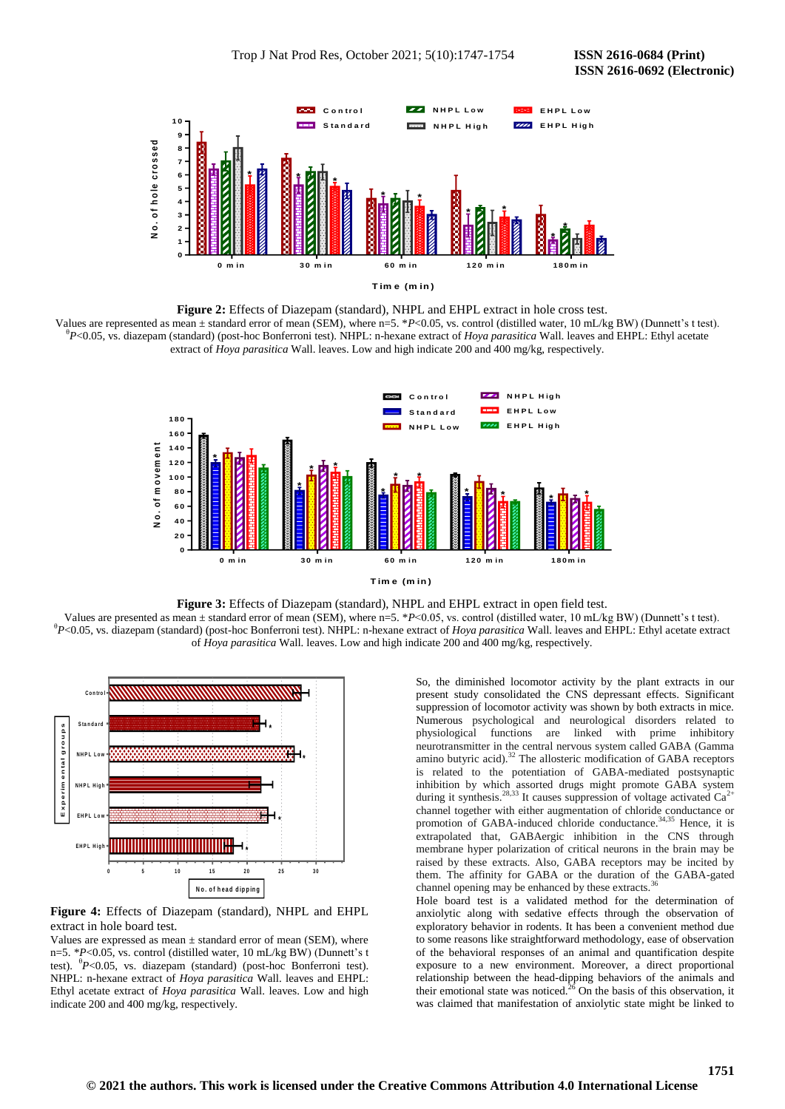

**Figure 2:** Effects of Diazepam (standard), NHPL and EHPL extract in hole cross test. Values are represented as mean ± standard error of mean (SEM), where n=5. \**P*<0.05, vs. control (distilled water, 10 mL/kg BW) (Dunnett's t test). θ *P*<0.05, vs. diazepam (standard) (post-hoc Bonferroni test). NHPL: n-hexane extract of *Hoya parasitica* Wall. leaves and EHPL: Ethyl acetate extract of *Hoya parasitica* Wall. leaves. Low and high indicate 200 and 400 mg/kg, respectively.



**Figure 3:** Effects of Diazepam (standard), NHPL and EHPL extract in open field test.

Values are presented as mean ± standard error of mean (SEM), where n=5. \**P*<0.05, vs. control (distilled water, 10 mL/kg BW) (Dunnett's t test). θ *P*<0.05, vs. diazepam (standard) (post-hoc Bonferroni test). NHPL: n-hexane extract of *Hoya parasitica* Wall. leaves and EHPL: Ethyl acetate extract of *Hoya parasitica* Wall. leaves. Low and high indicate 200 and 400 mg/kg, respectively.



**Figure 4:** Effects of Diazepam (standard), NHPL and EHPL extract in hole board test.

Values are expressed as mean  $\pm$  standard error of mean (SEM), where n=5. \**P*<0.05, vs. control (distilled water, 10 mL/kg BW) (Dunnett's t test). <sup>θ</sup> *P*<0.05, vs. diazepam (standard) (post-hoc Bonferroni test). NHPL: n-hexane extract of *Hoya parasitica* Wall. leaves and EHPL: Ethyl acetate extract of *Hoya parasitica* Wall. leaves. Low and high indicate 200 and 400 mg/kg, respectively.

So, the diminished locomotor activity by the plant extracts in our present study consolidated the CNS depressant effects. Significant suppression of locomotor activity was shown by both extracts in mice. Numerous psychological and neurological disorders related to physiological functions are linked with prime inhibitory neurotransmitter in the central nervous system called GABA (Gamma amino butyric acid). $32$  The allosteric modification of GABA receptors is related to the potentiation of GABA-mediated postsynaptic inhibition by which assorted drugs might promote GABA system during it synthesis.<sup>28,33</sup> It causes suppression of voltage activated  $Ca^{2+}$ channel together with either augmentation of chloride conductance or promotion of GABA-induced chloride conductance.<sup>34,35</sup> Hence, it is extrapolated that, GABAergic inhibition in the CNS through membrane hyper polarization of critical neurons in the brain may be raised by these extracts. Also, GABA receptors may be incited by them. The affinity for GABA or the duration of the GABA-gated channel opening may be enhanced by these extracts.<sup>3</sup>

Hole board test is a validated method for the determination of anxiolytic along with sedative effects through the observation of exploratory behavior in rodents. It has been a convenient method due to some reasons like straightforward methodology, ease of observation of the behavioral responses of an animal and quantification despite exposure to a new environment. Moreover, a direct proportional relationship between the head-dipping behaviors of the animals and their emotional state was noticed.<sup>26</sup> On the basis of this observation, it was claimed that manifestation of anxiolytic state might be linked to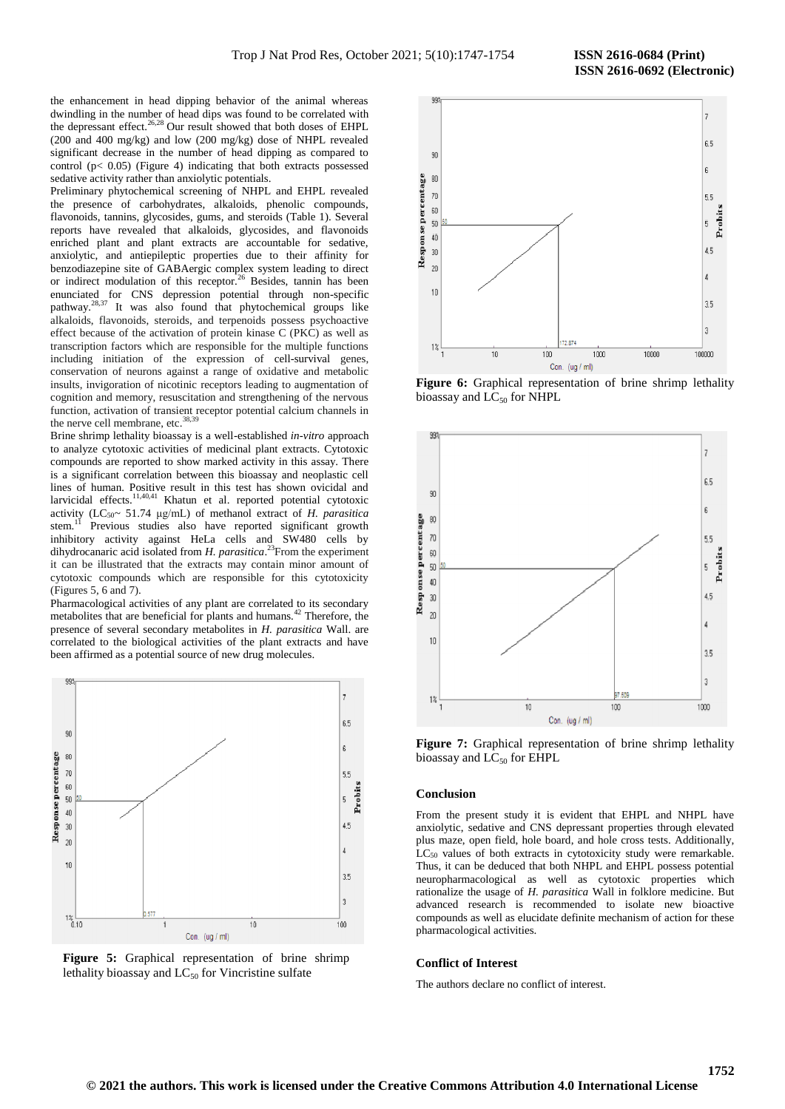the enhancement in head dipping behavior of the animal whereas dwindling in the number of head dips was found to be correlated with the depressant effect.<sup>26,28</sup> Our result showed that both doses of EHPL (200 and 400 mg/kg) and low (200 mg/kg) dose of NHPL revealed significant decrease in the number of head dipping as compared to control (p< 0.05) (Figure 4) indicating that both extracts possessed sedative activity rather than anxiolytic potentials.

Preliminary phytochemical screening of NHPL and EHPL revealed the presence of carbohydrates, alkaloids, phenolic compounds, flavonoids, tannins, glycosides, gums, and steroids (Table 1). Several reports have revealed that alkaloids, glycosides, and flavonoids enriched plant and plant extracts are accountable for sedative, anxiolytic, and antiepileptic properties due to their affinity for benzodiazepine site of GABAergic complex system leading to direct or indirect modulation of this receptor.<sup>26</sup> Besides, tannin has been enunciated for CNS depression potential through non-specific pathway.<sup>28,37</sup> It was also found that phytochemical groups like alkaloids, flavonoids, steroids, and terpenoids possess psychoactive effect because of the activation of protein kinase C (PKC) as well as transcription factors which are responsible for the multiple functions including initiation of the expression of cell-survival genes, conservation of neurons against a range of oxidative and metabolic insults, invigoration of nicotinic receptors leading to augmentation of cognition and memory, resuscitation and strengthening of the nervous function, activation of transient receptor potential calcium channels in the nerve cell membrane, etc.<sup>38,3</sup>

Brine shrimp lethality bioassay is a well-established *in-vitro* approach to analyze cytotoxic activities of medicinal plant extracts. Cytotoxic compounds are reported to show marked activity in this assay. There is a significant correlation between this bioassay and neoplastic cell lines of human. Positive result in this test has shown ovicidal and larvicidal effects.11,40,41 Khatun et al. reported potential cytotoxic activity (LC<sub>50</sub> $\sim$  51.74 μg/mL) of methanol extract of *H. parasitica* stem.<sup>11</sup> Previous studies also have reported significant growth inhibitory activity against HeLa cells and SW480 cells by dihydrocanaric acid isolated from *H. parasitica*. <sup>23</sup>From the experiment it can be illustrated that the extracts may contain minor amount of cytotoxic compounds which are responsible for this cytotoxicity (Figures 5, 6 and 7).

Pharmacological activities of any plant are correlated to its secondary metabolites that are beneficial for plants and humans.<sup>42</sup> Therefore, the presence of several secondary metabolites in *H. parasitica* Wall. are correlated to the biological activities of the plant extracts and have been affirmed as a potential source of new drug molecules.



**Figure 5:** Graphical representation of brine shrimp lethality bioassay and  $LC_{50}$  for Vincristine sulfate



**Figure 6:** Graphical representation of brine shrimp lethality bioassay and  $LC_{50}$  for NHPL



**Figure 7:** Graphical representation of brine shrimp lethality bioassay and  $LC_{50}$  for EHPL

# **Conclusion**

From the present study it is evident that EHPL and NHPL have anxiolytic, sedative and CNS depressant properties through elevated plus maze, open field, hole board, and hole cross tests. Additionally, LC<sub>50</sub> values of both extracts in cytotoxicity study were remarkable. Thus, it can be deduced that both NHPL and EHPL possess potential neuropharmacological as well as cytotoxic properties which rationalize the usage of *H. parasitica* Wall in folklore medicine. But advanced research is recommended to isolate new bioactive compounds as well as elucidate definite mechanism of action for these pharmacological activities.

#### **Conflict of Interest**

The authors declare no conflict of interest.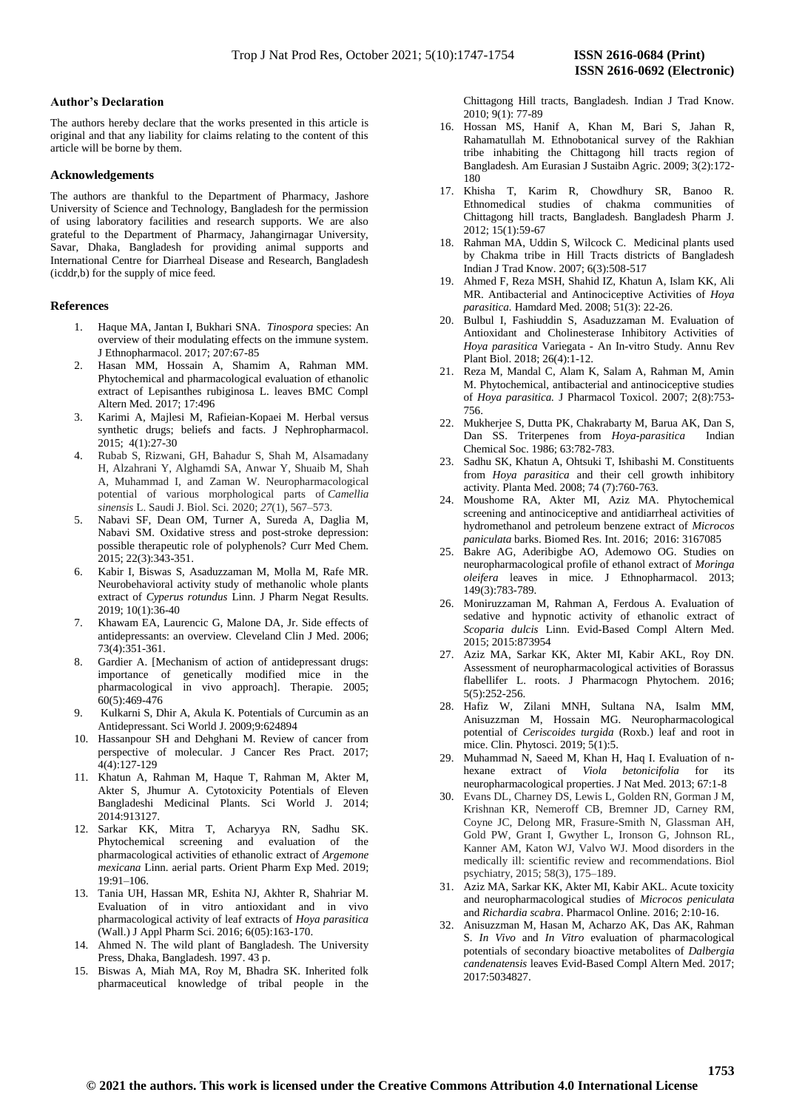# **Author's Declaration**

The authors hereby declare that the works presented in this article is original and that any liability for claims relating to the content of this article will be borne by them.

# **Acknowledgements**

The authors are thankful to the Department of Pharmacy, Jashore University of Science and Technology, Bangladesh for the permission of using laboratory facilities and research supports. We are also grateful to the Department of Pharmacy, Jahangirnagar University, Savar, Dhaka, Bangladesh for providing animal supports and International Centre for Diarrheal Disease and Research, Bangladesh (icddr,b) for the supply of mice feed.

# **References**

- 1. Haque MA, Jantan I, Bukhari SNA. *Tinospora* species: An overview of their modulating effects on the immune system. J Ethnopharmacol. 2017; 207:67-85
- 2. Hasan MM, Hossain A, Shamim A, Rahman MM. Phytochemical and pharmacological evaluation of ethanolic extract of Lepisanthes rubiginosa L. leaves BMC Compl Altern Med. 2017; 17:496
- 3. Karimi A, Majlesi M, Rafieian-Kopaei M. Herbal versus synthetic drugs; beliefs and facts. J Nephropharmacol. 2015; 4(1):27-30
- 4. Rubab S, Rizwani, GH, Bahadur S, Shah M, Alsamadany H, Alzahrani Y, Alghamdi SA, Anwar Y, Shuaib M, Shah A, Muhammad I, and Zaman W. Neuropharmacological potential of various morphological parts of *Camellia sinensis* L. Saudi J. Biol. Sci. 2020; *27*(1), 567–573.
- 5. Nabavi SF, Dean OM, Turner A, Sureda A, Daglia M, Nabavi SM. Oxidative stress and post-stroke depression: possible therapeutic role of polyphenols? Curr Med Chem. 2015; 22(3):343-351.
- 6. Kabir I, Biswas S, Asaduzzaman M, Molla M, Rafe MR. Neurobehavioral activity study of methanolic whole plants extract of *Cyperus rotundus* Linn. J Pharm Negat Results. 2019; 10(1):36-40
- 7. Khawam EA, Laurencic G, Malone DA, Jr. Side effects of antidepressants: an overview. Cleveland Clin J Med. 2006; 73(4):351-361.
- 8. Gardier A. [Mechanism of action of antidepressant drugs: importance of genetically modified mice in the pharmacological in vivo approach]. Therapie. 2005; 60(5):469-476
- 9. Kulkarni S, Dhir A, Akula K. Potentials of Curcumin as an Antidepressant. Sci World J. 2009;9:624894
- 10. Hassanpour SH and Dehghani M. Review of cancer from perspective of molecular. J Cancer Res Pract. 2017; 4(4):127-129
- 11. Khatun A, Rahman M, Haque T, Rahman M, Akter M, Akter S, Jhumur A. Cytotoxicity Potentials of Eleven Bangladeshi Medicinal Plants. Sci World J. 2014; 2014:913127.
- 12. Sarkar KK, Mitra T, Acharyya RN, Sadhu SK. Phytochemical screening and evaluation of the pharmacological activities of ethanolic extract of *Argemone mexicana* Linn. aerial parts. Orient Pharm Exp Med. 2019; 19:91–106.
- 13. Tania UH, Hassan MR, Eshita NJ, Akhter R, Shahriar M. Evaluation of in vitro antioxidant and in vivo pharmacological activity of leaf extracts of *Hoya parasitica* (Wall.) J Appl Pharm Sci. 2016; 6(05):163-170.
- 14. Ahmed N. The wild plant of Bangladesh. The University Press, Dhaka, Bangladesh. 1997. 43 p.
- 15. Biswas A, Miah MA, Roy M, Bhadra SK. Inherited folk pharmaceutical knowledge of tribal people in the

Chittagong Hill tracts, Bangladesh. Indian J Trad Know. 2010; 9(1): 77-89

- 16. Hossan MS, Hanif A, Khan M, Bari S, Jahan R, Rahamatullah M. Ethnobotanical survey of the Rakhian tribe inhabiting the Chittagong hill tracts region of Bangladesh. Am Eurasian J Sustaibn Agric. 2009; 3(2):172- 180
- 17. Khisha T, Karim R, Chowdhury SR, Banoo R. Ethnomedical studies of chakma communities of Chittagong hill tracts, Bangladesh. Bangladesh Pharm J. 2012; 15(1):59-67
- 18. Rahman MA, Uddin S, Wilcock C. Medicinal plants used by Chakma tribe in Hill Tracts districts of Bangladesh Indian J Trad Know. 2007; 6(3):508-517
- 19. Ahmed F, Reza MSH, Shahid IZ, Khatun A, Islam KK, Ali MR. Antibacterial and Antinociceptive Activities of *Hoya parasitica.* Hamdard Med. 2008; 51(3): 22-26.
- 20. Bulbul I, Fashiuddin S, Asaduzzaman M. Evaluation of Antioxidant and Cholinesterase Inhibitory Activities of *Hoya parasitica* Variegata - An In-vitro Study. Annu Rev Plant Biol. 2018; 26(4):1-12.
- 21. Reza M, Mandal C, Alam K, Salam A, Rahman M, Amin M. Phytochemical, antibacterial and antinociceptive studies of *Hoya parasitica.* J Pharmacol Toxicol. 2007; 2(8):753- 756.
- 22. Mukherjee S, Dutta PK, Chakrabarty M, Barua AK, Dan S, Dan SS. Triterpenes from *Hoya-parasitica* Indian Chemical Soc. 1986; 63:782-783.
- 23. Sadhu SK, Khatun A, Ohtsuki T, Ishibashi M. Constituents from *Hoya parasitica* and their cell growth inhibitory activity. Planta Med. 2008; 74 (7):760-763.
- 24. Moushome RA, Akter MI, Aziz MA. Phytochemical screening and antinociceptive and antidiarrheal activities of hydromethanol and petroleum benzene extract of *Microcos paniculata* barks. Biomed Res. Int. 2016; 2016: 3167085
- 25. Bakre AG, Aderibigbe AO, Ademowo OG. Studies on neuropharmacological profile of ethanol extract of *Moringa oleifera* leaves in mice. J Ethnopharmacol. 2013; 149(3):783-789.
- 26. Moniruzzaman M, Rahman A, Ferdous A. Evaluation of sedative and hypnotic activity of ethanolic extract of *Scoparia dulcis* Linn. Evid-Based Compl Altern Med. 2015; 2015:873954
- 27. Aziz MA, Sarkar KK, Akter MI, Kabir AKL, Roy DN. Assessment of neuropharmacological activities of Borassus flabellifer L. roots. J Pharmacogn Phytochem. 2016; 5(5):252-256.
- 28. Hafiz W, Zilani MNH, Sultana NA, Isalm MM, Anisuzzman M, Hossain MG. Neuropharmacological potential of *Ceriscoides turgida* (Roxb.) leaf and root in mice. Clin. Phytosci. 2019; 5(1):5.
- 29. Muhammad N, Saeed M, Khan H, Haq I. Evaluation of nhexane extract of *Viola betonicifolia* for its neuropharmacological properties. J Nat Med. 2013; 67:1-8
- 30. Evans DL, Charney DS, Lewis L, Golden RN, Gorman J M, Krishnan KR, Nemeroff CB, Bremner JD, Carney RM, Coyne JC, Delong MR, Frasure-Smith N, Glassman AH, Gold PW, Grant I, Gwyther L, Ironson G, Johnson RL, Kanner AM, Katon WJ, Valvo WJ. Mood disorders in the medically ill: scientific review and recommendations. Biol psychiatry, 2015; 58(3), 175–189.
- 31. Aziz MA, Sarkar KK, Akter MI, Kabir AKL. Acute toxicity and neuropharmacological studies of *Microcos peniculata* and *Richardia scabra*. Pharmacol Online. 2016; 2:10-16.
- 32. Anisuzzman M, Hasan M, Acharzo AK, Das AK, Rahman S. *In Vivo* and *In Vitro* evaluation of pharmacological potentials of secondary bioactive metabolites of *Dalbergia candenatensis* leaves Evid-Based Compl Altern Med. 2017; 2017:5034827.